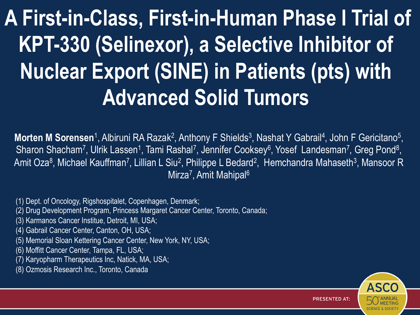# **A First-in-Class, First-in-Human Phase I Trial of KPT-330 (Selinexor), a Selective Inhibitor of Nuclear Export (SINE) in Patients (pts) with Advanced Solid Tumors**

**Morten M Sorensen**<sup>1</sup>, Albiruni RA Razak<sup>2</sup>, Anthony F Shields<sup>3</sup>, Nashat Y Gabrail<sup>4</sup>, John F Gericitano<sup>5</sup>, Sharon Shacham<sup>7</sup>, Ulrik Lassen<sup>1</sup>, Tami Rashal<sup>7</sup>, Jennifer Cooksey<sup>6</sup>, Yosef Landesman<sup>7</sup>, Greg Pond<sup>8</sup>, Amit Oza<sup>8</sup>, Michael Kauffman<sup>7</sup>, Lillian L Siu<sup>2</sup>, Philippe L Bedard<sup>2</sup>, Hemchandra Mahaseth<sup>3</sup>, Mansoor R Mirza<sup>7</sup>, Amit Mahipal<sup>6</sup>

(1) Dept. of Oncology, Rigshospitalet, Copenhagen, Denmark;

(2) Drug Development Program, Princess Margaret Cancer Center, Toronto, Canada;

(3) Karmanos Cancer Institue, Detroit, MI, USA;

(4) Gabrail Cancer Center, Canton, OH, USA;

(5) Memorial Sloan Kettering Cancer Center, New York, NY, USA;

(6) Moffitt Cancer Center, Tampa, FL, USA;

(7) Karyopharm Therapeutics Inc, Natick, MA, USA;

(8) Ozmosis Research Inc., Toronto, Canada

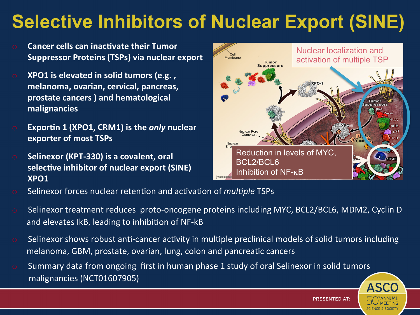## **Selective Inhibitors of Nuclear Export (SINE)**

- **Cancer cells can inactivate their Tumor Suppressor Proteins (TSPs) via nuclear export**
- **O XPO1** is elevated in solid tumors (e.g., melanoma, ovarian, cervical, pancreas, prostate cancers ) and hematological **malignancies**
- **Exportin 1 (XPO1, CRM1) is the** *only* **nuclear exporter of most TSPs**
- **o** Selinexor (KPT-330) is a covalent, oral selective inhibitor of nuclear export (SINE) **XPO1**



- Selinexor forces nuclear retention and activation of *multiple* TSPs
- Selinexor treatment reduces proto-oncogene proteins including MYC, BCL2/BCL6, MDM2, Cyclin D and elevates IkB, leading to inhibition of NF-kB
- $\circ$  Selinexor shows robust anti-cancer activity in multiple preclinical models of solid tumors including melanoma, GBM, prostate, ovarian, lung, colon and pancreatic cancers
- Summary data from ongoing first in human phase 1 study of oral Selinexor in solid tumors malignancies (NCT01607905)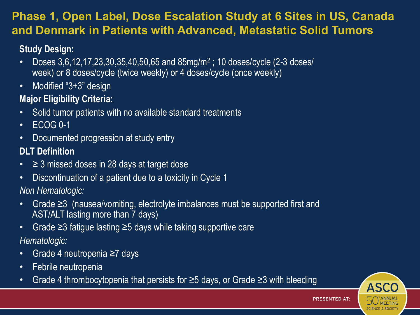#### **Phase 1, Open Label, Dose Escalation Study at 6 Sites in US, Canada and Denmark in Patients with Advanced, Metastatic Solid Tumors**

#### **Study Design:**

- Doses  $3,6,12,17,23,30,35,40,50,65$  and  $85$ mg/m<sup>2</sup>; 10 doses/cycle (2-3 doses/ week) or 8 doses/cycle (twice weekly) or 4 doses/cycle (once weekly)
- Modified "3+3" design

#### **Major Eligibility Criteria:**

- Solid tumor patients with no available standard treatments
- ECOG 0-1
- Documented progression at study entry

#### **DLT Definition**

- $\geq$  3 missed doses in 28 days at target dose
- Discontinuation of a patient due to a toxicity in Cycle 1

*Non Hematologic:* 

- Grade ≥3 (nausea/vomiting, electrolyte imbalances must be supported first and AST/ALT lasting more than 7 days)
- Grade ≥3 fatigue lasting ≥5 days while taking supportive care
- *Hematologic:*
- Grade 4 neutropenia ≥7 days
- Febrile neutropenia
- Grade 4 thrombocytopenia that persists for ≥5 days, or Grade ≥3 with bleeding

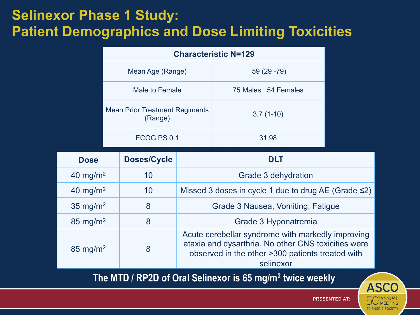### **Selinexor Phase 1 Study: Patient Demographics and Dose Limiting Toxicities**

| <b>Characteristic N=129</b>                      |                      |  |  |  |  |
|--------------------------------------------------|----------------------|--|--|--|--|
| Mean Age (Range)                                 | $59(29-79)$          |  |  |  |  |
| Male to Female                                   | 75 Males: 54 Females |  |  |  |  |
| <b>Mean Prior Treatment Regiments</b><br>(Range) | $3.7(1-10)$          |  |  |  |  |
| ECOG PS 0:1                                      | 31:98                |  |  |  |  |

| <b>Dose</b>                                                           | <b>Doses/Cycle</b> | <b>DLT</b>                                                                                                                                                                |  |  |
|-----------------------------------------------------------------------|--------------------|---------------------------------------------------------------------------------------------------------------------------------------------------------------------------|--|--|
| 40 mg/m <sup>2</sup>                                                  | 10                 | Grade 3 dehydration                                                                                                                                                       |  |  |
| 40 mg/m <sup>2</sup>                                                  | 10                 | Missed 3 doses in cycle 1 due to drug AE (Grade $\leq$ 2)                                                                                                                 |  |  |
| 35 mg/m <sup>2</sup>                                                  | 8                  | Grade 3 Nausea, Vomiting, Fatigue                                                                                                                                         |  |  |
| $85 \text{ mg/m}^2$                                                   | 8                  | Grade 3 Hyponatremia                                                                                                                                                      |  |  |
| $85 \text{ mg/m}^2$                                                   | 8                  | Acute cerebellar syndrome with markedly improving<br>ataxia and dysarthria. No other CNS toxicities were<br>observed in the other >300 patients treated with<br>selinexor |  |  |
| The MTD / RP2D of Oral Selinexor is 65 mg/m <sup>2</sup> twice weekly |                    |                                                                                                                                                                           |  |  |

**PRESENTED AT:** 

**ASCO** 

**SCIENCE & SOCIETY** 

'ANNUAL<br>MEETING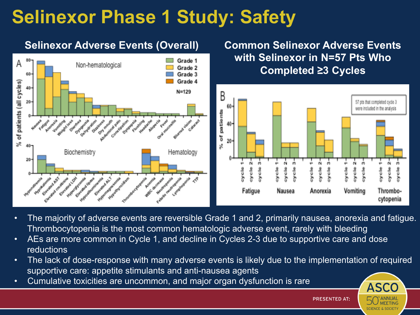### **Selinexor Phase 1 Study: Safety**

#### **Selinexor Adverse Events (Overall) Common Selinexor Adverse Events with Selinexor in N=57 Pts Who**  Grade 1 А Non-hematological Grade 2 **Completed ≥3 Cycles** Grade 3 60 Grade 4 of patients (all cycles) 40- $N = 129$ B  $20<sub>2</sub>$ 57 pts that completed cycle 3 were included in the analysis patients Senior and Manuscription ð 20 ż ×, Biochemistry Hematology 20 6V Ń ø. 6ì. ó. 릠 흥 븜 음 ŧ 몸 ū Fatigue Vomiting Anorexia Nausea Thrombocytopenia

- The majority of adverse events are reversible Grade 1 and 2, primarily nausea, anorexia and fatigue. Thrombocytopenia is the most common hematologic adverse event, rarely with bleeding
- AEs are more common in Cycle 1, and decline in Cycles 2-3 due to supportive care and dose reductions
- The lack of dose-response with many adverse events is likely due to the implementation of required supportive care: appetite stimulants and anti-nausea agents
- Cumulative toxicities are uncommon, and major organ dysfunction is rare